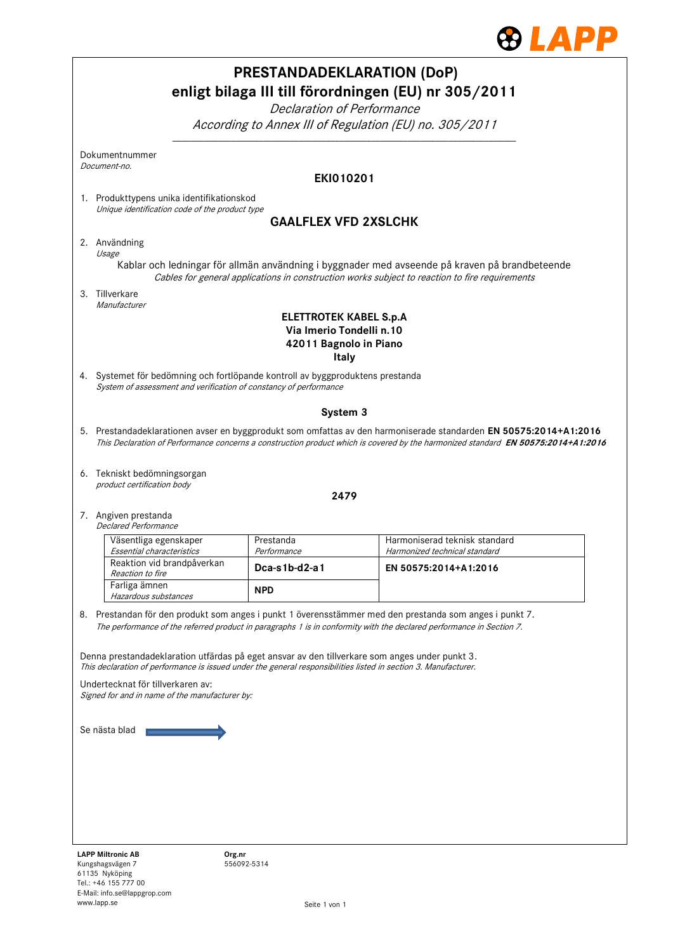

| <b>PRESTANDADEKLARATION (DoP)</b><br>enligt bilaga III till förordningen (EU) nr 305/2011<br>Declaration of Performance<br>According to Annex III of Regulation (EU) no. 305/2011                                                                                                                                         |                          |                                                                |  |  |
|---------------------------------------------------------------------------------------------------------------------------------------------------------------------------------------------------------------------------------------------------------------------------------------------------------------------------|--------------------------|----------------------------------------------------------------|--|--|
| Dokumentnummer<br>Document-no.                                                                                                                                                                                                                                                                                            |                          |                                                                |  |  |
| <b>EKI010201</b>                                                                                                                                                                                                                                                                                                          |                          |                                                                |  |  |
| 1. Produkttypens unika identifikationskod<br>Unique identification code of the product type                                                                                                                                                                                                                               |                          |                                                                |  |  |
| <b>GAALFLEX VFD 2XSLCHK</b>                                                                                                                                                                                                                                                                                               |                          |                                                                |  |  |
| 2. Användning<br>Usage<br>Kablar och ledningar för allmän användning i byggnader med avseende på kraven på brandbeteende                                                                                                                                                                                                  |                          |                                                                |  |  |
| Cables for general applications in construction works subject to reaction to fire requirements<br>3. Tillverkare                                                                                                                                                                                                          |                          |                                                                |  |  |
| Manufacturer<br><b>ELETTROTEK KABEL S.p.A</b><br>Via Imerio Tondelli n.10<br>42011 Bagnolo in Piano<br>Italy                                                                                                                                                                                                              |                          |                                                                |  |  |
| 4. Systemet för bedömning och fortlöpande kontroll av byggproduktens prestanda<br>System of assessment and verification of constancy of performance                                                                                                                                                                       |                          |                                                                |  |  |
| System 3                                                                                                                                                                                                                                                                                                                  |                          |                                                                |  |  |
| 5. Prestandadeklarationen avser en byggprodukt som omfattas av den harmoniserade standarden EN 50575:2014+A1:2016<br>This Declaration of Performance concerns a construction product which is covered by the harmonized standard EN 50575:2014+A1:2016                                                                    |                          |                                                                |  |  |
| 6. Tekniskt bedömningsorgan<br>product certification body                                                                                                                                                                                                                                                                 |                          |                                                                |  |  |
| 2479                                                                                                                                                                                                                                                                                                                      |                          |                                                                |  |  |
| 7. Angiven prestanda<br><b>Declared Performance</b>                                                                                                                                                                                                                                                                       |                          |                                                                |  |  |
| Väsentliga egenskaper<br>Essential characteristics                                                                                                                                                                                                                                                                        | Prestanda<br>Performance | Harmoniserad teknisk standard<br>Harmonized technical standard |  |  |
| Reaktion vid brandpåverkan<br>Reaction to fire                                                                                                                                                                                                                                                                            | Dca-s1b-d2-a1            | EN 50575:2014+A1:2016                                          |  |  |
| Farliga ämnen<br>Hazardous substances                                                                                                                                                                                                                                                                                     | <b>NPD</b>               |                                                                |  |  |
| 8. Prestandan för den produkt som anges i punkt 1 överensstämmer med den prestanda som anges i punkt 7.<br>The performance of the referred product in paragraphs 1 is in conformity with the declared performance in Section 7.                                                                                           |                          |                                                                |  |  |
| Denna prestandadeklaration utfärdas på eget ansvar av den tillverkare som anges under punkt 3.<br>This declaration of performance is issued under the general responsibilities listed in section 3. Manufacturer.<br>Undertecknat för tillverkaren av:<br>Signed for and in name of the manufacturer by:<br>Se nästa blad |                          |                                                                |  |  |
| <b>LAPP Miltronic AB</b><br>Kungshagsvägen 7<br>61135 Nyköping<br>Tel.: +46 155 777 00                                                                                                                                                                                                                                    | Org.nr<br>556092-5314    |                                                                |  |  |

E-Mail: info.se@lappgrop.com

www.lapp.se